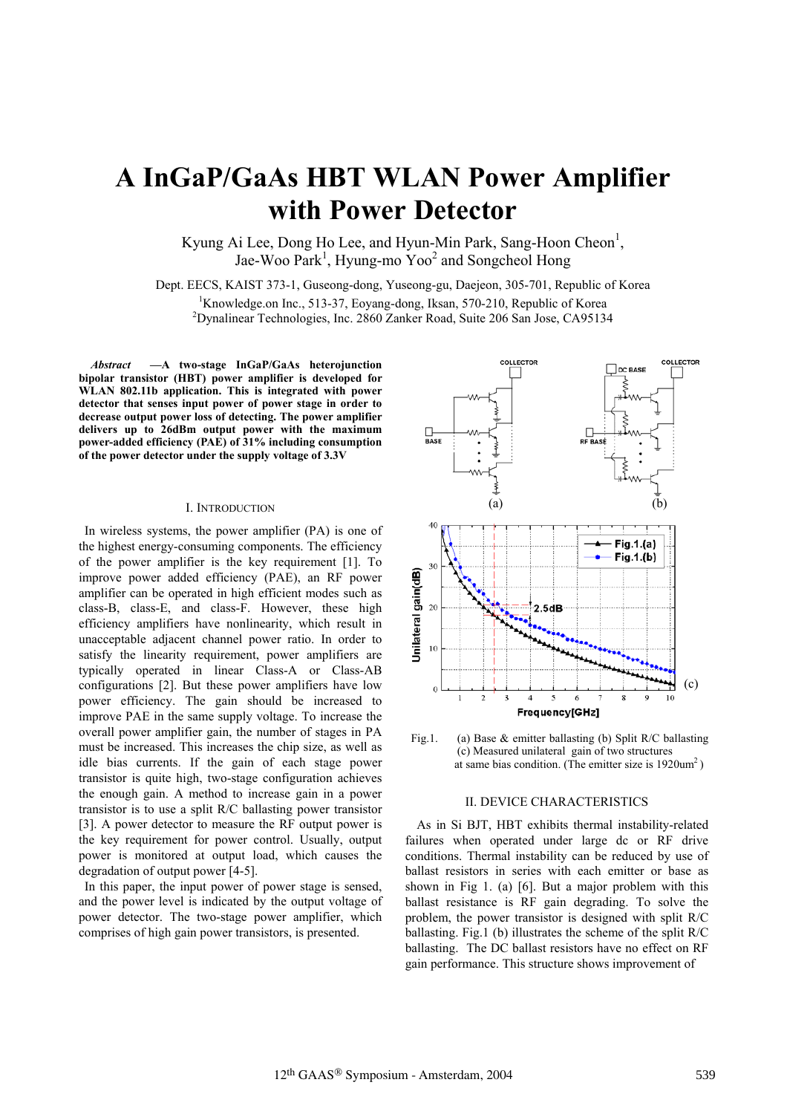# **A InGaP/GaAs HBT WLAN Power Amplifier with Power Detector**

Kyung Ai Lee, Dong Ho Lee, and Hyun-Min Park, Sang-Hoon Cheon<sup>1</sup>, Jae-Woo Park<sup>1</sup>, Hyung-mo Yoo<sup>2</sup> and Songcheol Hong

Dept. EECS, KAIST 373-1, Guseong-dong, Yuseong-gu, Daejeon, 305-701, Republic of Korea

<sup>1</sup>Knowledge.on Inc., 513-37, Eoyang-dong, Iksan, 570-210, Republic of Korea<br><sup>2</sup>Dynalipear Technologies, Inc., 2860 Zeplear Read, Suite 206 Sep Jess. CA05134

<sup>2</sup>Dynalinear Technologies, Inc. 2860 Zanker Road, Suite 206 San Jose, CA95134

*Abstract* **—A two-stage InGaP/GaAs heterojunction bipolar transistor (HBT) power amplifier is developed for WLAN 802.11b application. This is integrated with power detector that senses input power of power stage in order to decrease output power loss of detecting. The power amplifier delivers up to 26dBm output power with the maximum power-added efficiency (PAE) of 31% including consumption of the power detector under the supply voltage of 3.3V** 

## I. INTRODUCTION

In wireless systems, the power amplifier (PA) is one of the highest energy-consuming components. The efficiency of the power amplifier is the key requirement [1]. To improve power added efficiency (PAE), an RF power amplifier can be operated in high efficient modes such as class-B, class-E, and class-F. However, these high efficiency amplifiers have nonlinearity, which result in unacceptable adjacent channel power ratio. In order to satisfy the linearity requirement, power amplifiers are typically operated in linear Class-A or Class-AB configurations [2]. But these power amplifiers have low power efficiency. The gain should be increased to improve PAE in the same supply voltage. To increase the overall power amplifier gain, the number of stages in PA must be increased. This increases the chip size, as well as idle bias currents. If the gain of each stage power transistor is quite high, two-stage configuration achieves the enough gain. A method to increase gain in a power transistor is to use a split R/C ballasting power transistor [3]. A power detector to measure the RF output power is the key requirement for power control. Usually, output power is monitored at output load, which causes the degradation of output power [4-5].

In this paper, the input power of power stage is sensed, and the power level is indicated by the output voltage of power detector. The two-stage power amplifier, which comprises of high gain power transistors, is presented.





# II. DEVICE CHARACTERISTICS

As in Si BJT, HBT exhibits thermal instability-related failures when operated under large dc or RF drive conditions. Thermal instability can be reduced by use of ballast resistors in series with each emitter or base as shown in Fig 1. (a) [6]. But a major problem with this ballast resistance is RF gain degrading. To solve the problem, the power transistor is designed with split R/C ballasting. Fig.1 (b) illustrates the scheme of the split R/C ballasting. The DC ballast resistors have no effect on RF gain performance. This structure shows improvement of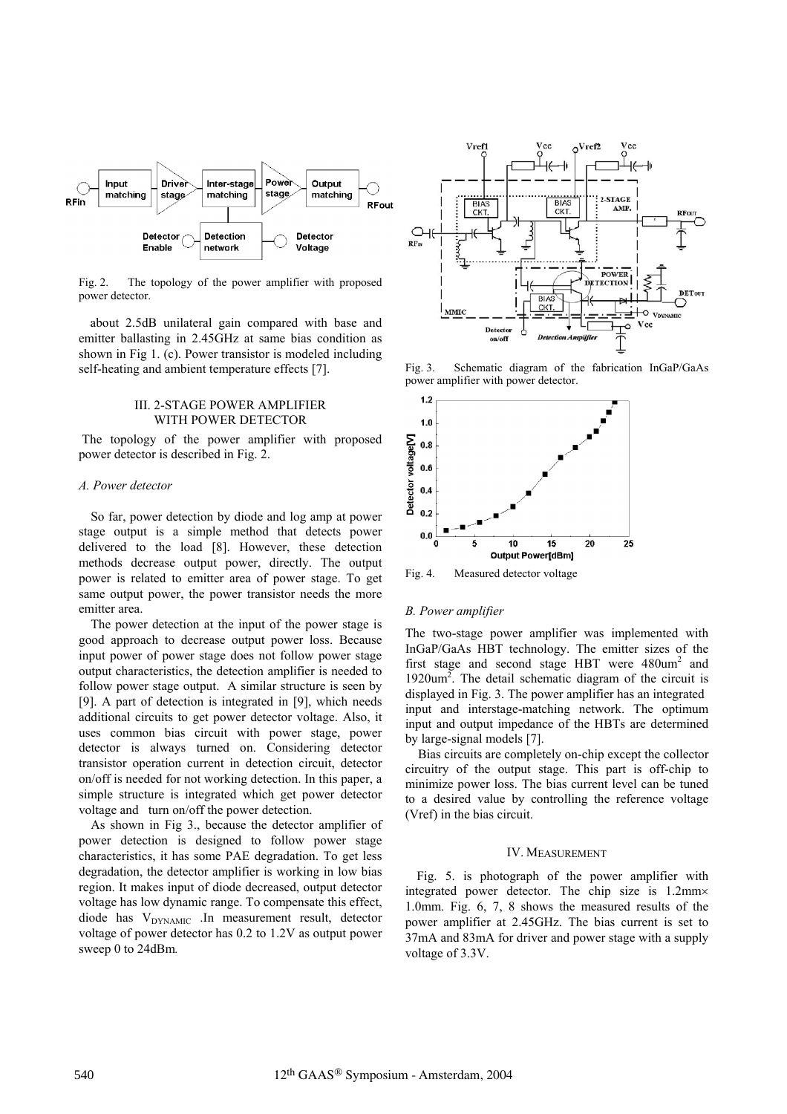

Fig. 2. The topology of the power amplifier with proposed power detector.

about 2.5dB unilateral gain compared with base and emitter ballasting in 2.45GHz at same bias condition as shown in Fig 1. (c). Power transistor is modeled including self-heating and ambient temperature effects [7].

# III. 2-STAGE POWER AMPLIFIER WITH POWER DETECTOR

 The topology of the power amplifier with proposed power detector is described in Fig. 2.

# *A. Power detector*

So far, power detection by diode and log amp at power stage output is a simple method that detects power delivered to the load [8]. However, these detection methods decrease output power, directly. The output power is related to emitter area of power stage. To get same output power, the power transistor needs the more emitter area.

The power detection at the input of the power stage is good approach to decrease output power loss. Because input power of power stage does not follow power stage output characteristics, the detection amplifier is needed to follow power stage output. A similar structure is seen by [9]. A part of detection is integrated in [9], which needs additional circuits to get power detector voltage. Also, it uses common bias circuit with power stage, power detector is always turned on. Considering detector transistor operation current in detection circuit, detector on/off is needed for not working detection. In this paper, a simple structure is integrated which get power detector voltage and turn on/off the power detection.

As shown in Fig 3., because the detector amplifier of power detection is designed to follow power stage characteristics, it has some PAE degradation. To get less degradation, the detector amplifier is working in low bias region. It makes input of diode decreased, output detector voltage has low dynamic range. To compensate this effect, diode has V<sub>DYNAMIC</sub> .In measurement result, detector voltage of power detector has 0.2 to 1.2V as output power sweep 0 to 24dBm*.*



Fig. 3. Schematic diagram of the fabrication InGaP/GaAs power amplifier with power detector.



Fig. 4. Measured detector voltage

#### *B. Power amplifier*

The two-stage power amplifier was implemented with InGaP/GaAs HBT technology. The emitter sizes of the first stage and second stage HBT were  $480$ um<sup>2</sup> and  $1920$ um<sup>2</sup>. The detail schematic diagram of the circuit is displayed in Fig. 3. The power amplifier has an integrated input and interstage-matching network. The optimum input and output impedance of the HBTs are determined by large-signal models [7].

Bias circuits are completely on-chip except the collector circuitry of the output stage. This part is off-chip to minimize power loss. The bias current level can be tuned to a desired value by controlling the reference voltage (Vref) in the bias circuit.

## IV. MEASUREMENT

Fig. 5. is photograph of the power amplifier with integrated power detector. The chip size is  $1.2$ mm $\times$ 1.0mm. Fig. 6, 7, 8 shows the measured results of the power amplifier at 2.45GHz. The bias current is set to 37mA and 83mA for driver and power stage with a supply voltage of 3.3V.